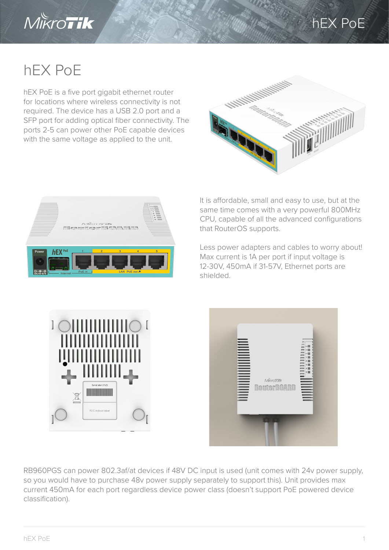

## hEX PoE

## hEX PoE

hEX PoE is a five port gigabit ethernet router for locations where wireless connectivity is not required. The device has a USB 2.0 port and a SFP port for adding optical fiber connectivity. The ports 2-5 can power other PoE capable devices with the same voltage as applied to the unit.





It is affordable, small and easy to use, but at the same time comes with a very powerful 800MHz CPU, capable of all the advanced configurations that RouterOS supports.

Less power adapters and cables to worry about! Max current is 1A per port if input voltage is 12-30V, 450mA if 31-57V, Ethernet ports are shielded.





RB960PGS can power 802.3af/at devices if 48V DC input is used (unit comes with 24v power supply, so you would have to purchase 48v power supply separately to support this). Unit provides max current 450mA for each port regardless device power class (doesn't support PoE powered device classification).